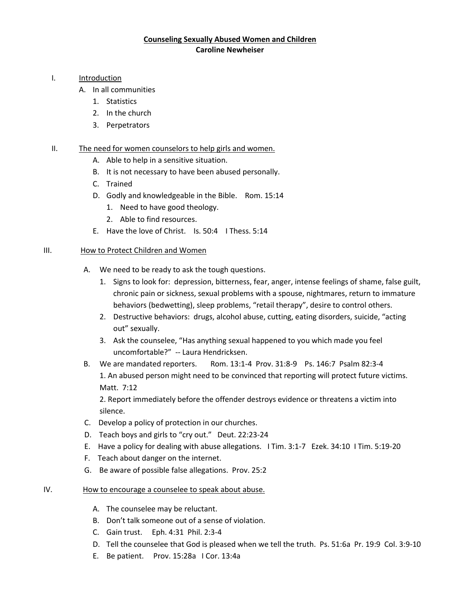# **Counseling Sexually Abused Women and Children Caroline Newheiser**

#### I. Introduction

- A. In all communities
	- 1. Statistics
	- 2. In the church
	- 3. Perpetrators

## II. The need for women counselors to help girls and women.

- A. Able to help in a sensitive situation.
- B. It is not necessary to have been abused personally.
- C. Trained
- D. Godly and knowledgeable in the Bible. Rom. 15:14
	- 1. Need to have good theology.
	- 2. Able to find resources.
- E. Have the love of Christ. Is. 50:4 I Thess. 5:14

#### III. How to Protect Children and Women

- A. We need to be ready to ask the tough questions.
	- 1. Signs to look for: depression, bitterness, fear, anger, intense feelings of shame, false guilt, chronic pain or sickness, sexual problems with a spouse, nightmares, return to immature behaviors (bedwetting), sleep problems, "retail therapy", desire to control others.
	- 2. Destructive behaviors: drugs, alcohol abuse, cutting, eating disorders, suicide, "acting out" sexually.
	- 3. Ask the counselee, "Has anything sexual happened to you which made you feel uncomfortable?" -- Laura Hendricksen.
- B. We are mandated reporters. Rom. 13:1-4Prov. 31:8-9 Ps. 146:7 Psalm 82:3-4 1. An abused person might need to be convinced that reporting will protect future victims. Matt. 7:12

2. Report immediately before the offender destroys evidence or threatens a victim into silence.

- C. Develop a policy of protection in our churches.
- D. Teach boys and girls to "cry out." Deut. 22:23-24
- E. Have a policy for dealing with abuse allegations. I Tim. 3:1-7Ezek. 34:10 I Tim. 5:19-20
- F. Teach about danger on the internet.
- G. Be aware of possible false allegations. Prov. 25:2

## IV. How to encourage a counselee to speak about abuse.

- A. The counselee may be reluctant.
- B. Don't talk someone out of a sense of violation.
- C. Gain trust. Eph. 4:31 Phil. 2:3-4
- D. Tell the counselee that God is pleased when we tell the truth. Ps. 51:6a Pr. 19:9 Col. 3:9-10
- E. Be patient. Prov. 15:28a I Cor. 13:4a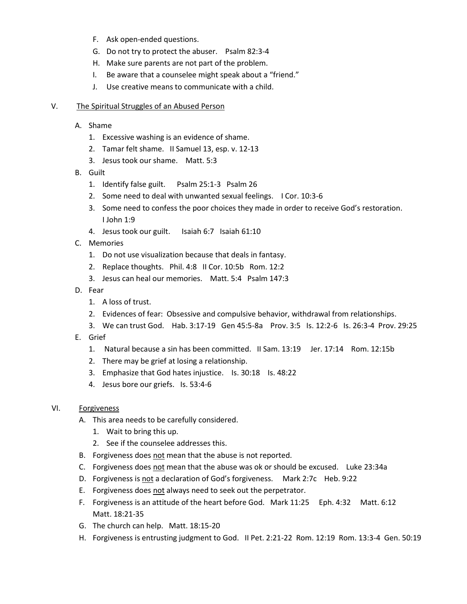- F. Ask open-ended questions.
- G. Do not try to protect the abuser. Psalm 82:3-4
- H. Make sure parents are not part of the problem.
- I. Be aware that a counselee might speak about a "friend."
- J. Use creative means to communicate with a child.

#### V. The Spiritual Struggles of an Abused Person

- A. Shame
	- 1. Excessive washing is an evidence of shame.
	- 2. Tamar felt shame. II Samuel 13, esp. v. 12-13
	- 3. Jesus took our shame. Matt. 5:3
- B. Guilt
	- 1. Identify false guilt. Psalm 25:1-3 Psalm 26
	- 2. Some need to deal with unwanted sexual feelings. I Cor. 10:3-6
	- 3. Some need to confess the poor choices they made in order to receive God's restoration. I John 1:9
	- 4. Jesus took our guilt. Isaiah 6:7 Isaiah 61:10
- C. Memories
	- 1. Do not use visualization because that deals in fantasy.
	- 2. Replace thoughts. Phil. 4:8 II Cor. 10:5b Rom. 12:2
	- 3. Jesus can heal our memories. Matt. 5:4 Psalm 147:3
- D. Fear
	- 1. A loss of trust.
	- 2. Evidences of fear: Obsessive and compulsive behavior, withdrawal from relationships.
	- 3. We can trust God. Hab. 3:17-19 Gen 45:5-8a Prov. 3:5 Is. 12:2-6 Is. 26:3-4 Prov. 29:25
- E. Grief
	- 1. Natural because a sin has been committed. II Sam. 13:19Jer. 17:14 Rom. 12:15b
	- 2. There may be grief at losing a relationship.
	- 3. Emphasize that God hates injustice. Is. 30:18 Is. 48:22
	- 4. Jesus bore our griefs. Is. 53:4-6

## VI. Forgiveness

- A. This area needs to be carefully considered.
	- 1. Wait to bring this up.
	- 2. See if the counselee addresses this.
- B. Forgiveness does not mean that the abuse is not reported.
- C. Forgiveness does not mean that the abuse was ok or should be excused. Luke 23:34a
- D. Forgiveness is not a declaration of God's forgiveness. Mark 2:7c Heb. 9:22
- E. Forgiveness does not always need to seek out the perpetrator.
- F. Forgiveness is an attitude of the heart before God. Mark 11:25 Eph. 4:32 Matt. 6:12 Matt. 18:21-35
- G. The church can help. Matt. 18:15-20
- H. Forgiveness is entrusting judgment to God. II Pet. 2:21-22 Rom. 12:19 Rom. 13:3-4 Gen. 50:19